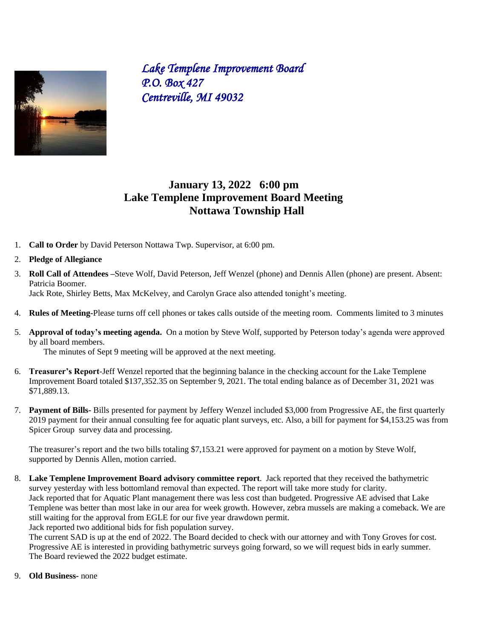

*Lake Templene Improvement Board P.O. Box 427 Centreville, MI 49032*

## **January 13, 2022 6:00 pm Lake Templene Improvement Board Meeting Nottawa Township Hall**

- 1. **Call to Order** by David Peterson Nottawa Twp. Supervisor, at 6:00 pm.
- 2. **Pledge of Allegiance**
- 3. **Roll Call of Attendees –**Steve Wolf, David Peterson, Jeff Wenzel (phone) and Dennis Allen (phone) are present. Absent: Patricia Boomer.

Jack Rote, Shirley Betts, Max McKelvey, and Carolyn Grace also attended tonight's meeting.

- 4. **Rules of Meeting-**Please turns off cell phones or takes calls outside of the meeting room. Comments limited to 3 minutes
- 5. **Approval of today's meeting agenda.** On a motion by Steve Wolf, supported by Peterson today's agenda were approved by all board members.

The minutes of Sept 9 meeting will be approved at the next meeting.

- 6. **Treasurer's Report**-Jeff Wenzel reported that the beginning balance in the checking account for the Lake Templene Improvement Board totaled \$137,352.35 on September 9, 2021. The total ending balance as of December 31, 2021 was \$71,889.13.
- 7. **Payment of Bills-** Bills presented for payment by Jeffery Wenzel included \$3,000 from Progressive AE, the first quarterly 2019 payment for their annual consulting fee for aquatic plant surveys, etc. Also, a bill for payment for \$4,153.25 was from Spicer Group survey data and processing.

The treasurer's report and the two bills totaling \$7,153.21 were approved for payment on a motion by Steve Wolf, supported by Dennis Allen, motion carried.

8. **Lake Templene Improvement Board advisory committee report**. Jack reported that they received the bathymetric survey yesterday with less bottomland removal than expected. The report will take more study for clarity. Jack reported that for Aquatic Plant management there was less cost than budgeted. Progressive AE advised that Lake Templene was better than most lake in our area for week growth. However, zebra mussels are making a comeback. We are still waiting for the approval from EGLE for our five year drawdown permit. Jack reported two additional bids for fish population survey.

The current SAD is up at the end of 2022. The Board decided to check with our attorney and with Tony Groves for cost. Progressive AE is interested in providing bathymetric surveys going forward, so we will request bids in early summer. The Board reviewed the 2022 budget estimate.

9. **Old Business-** none